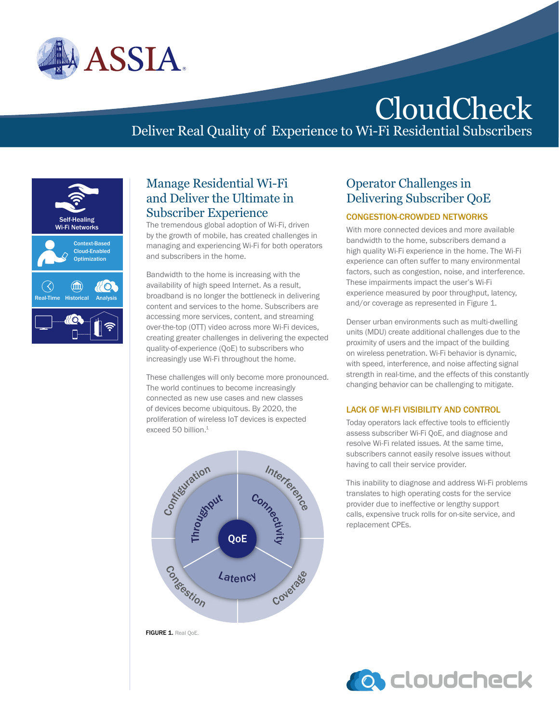

# CloudCheck

# Deliver Real Quality of Experience to Wi-Fi Residential Subscribers



## Manage Residential Wi-Fi and Deliver the Ultimate in Subscriber Experience

The tremendous global adoption of Wi-Fi, driven by the growth of mobile, has created challenges in managing and experiencing Wi-Fi for both operators and subscribers in the home.

Bandwidth to the home is increasing with the availability of high speed Internet. As a result, broadband is no longer the bottleneck in delivering content and services to the home. Subscribers are accessing more services, content, and streaming over-the-top (OTT) video across more Wi-Fi devices, creating greater challenges in delivering the expected quality-of-experience (QoE) to subscribers who increasingly use Wi-Fi throughout the home.

These challenges will only become more pronounced. The world continues to become increasingly connected as new use cases and new classes of devices become ubiquitous. By 2020, the proliferation of wireless IoT devices is expected exceed 50 billion.<sup>1</sup>



## FIGURE 1. Real OoE.

## Operator Challenges in Delivering Subscriber QoE

## CONGESTION-CROWDED NETWORKS

With more connected devices and more available bandwidth to the home, subscribers demand a high quality Wi-Fi experience in the home. The Wi-Fi experience can often suffer to many environmental factors, such as congestion, noise, and interference. These impairments impact the user's Wi-Fi experience measured by poor throughput, latency, and/or coverage as represented in Figure 1.

Denser urban environments such as multi-dwelling units (MDU) create additional challenges due to the proximity of users and the impact of the building on wireless penetration. Wi-Fi behavior is dynamic, with speed, interference, and noise affecting signal strength in real-time, and the effects of this constantly changing behavior can be challenging to mitigate.

#### LACK OF WI-FI VISIBILITY AND CONTROL

Today operators lack effective tools to efficiently assess subscriber Wi-Fi QoE, and diagnose and resolve Wi-Fi related issues. At the same time, subscribers cannot easily resolve issues without having to call their service provider.

This inability to diagnose and address Wi-Fi problems translates to high operating costs for the service provider due to ineffective or lengthy support calls, expensive truck rolls for on-site service, and replacement CPEs.

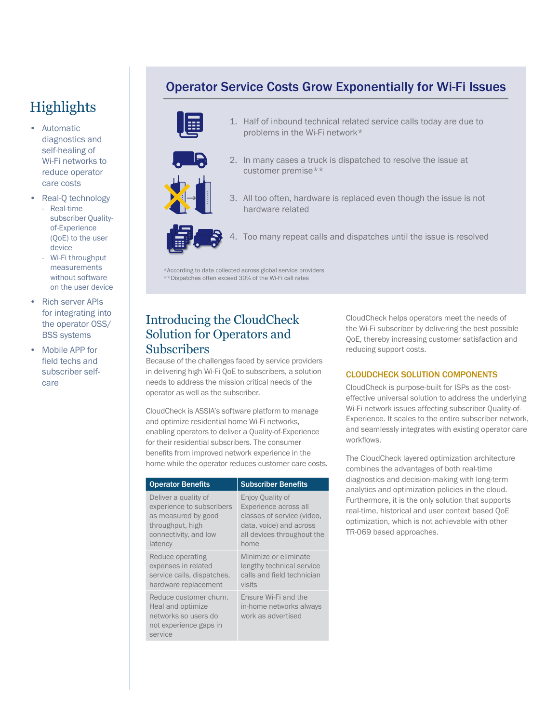# **Highlights**

- Automatic diagnostics and self-healing of Wi-Fi networks to reduce operator care costs
- Real-Q technology - Real-time subscriber Qualityof-Experience (QoE) to the user device
	- Wi-Fi throughput measurements without software on the user device
- **Rich server APIs** for integrating into the operator OSS/ BSS systems
- Mobile APP for field techs and subscriber selfcare

## Operator Service Costs Grow Exponentially for Wi-Fi Issues



- 1. Half of inbound technical related service calls today are due to problems in the Wi-Fi network\*
- 2. In many cases a truck is dispatched to resolve the issue at customer premise\*\*



3. All too often, hardware is replaced even though the issue is not hardware related



4. Too many repeat calls and dispatches until the issue is resolved

\*According to data collected across global service providers \*\*Dispatches often exceed 30% of the Wi-Fi call rates

## Introducing the CloudCheck Solution for Operators and **Subscribers**

Because of the challenges faced by service providers in delivering high Wi-Fi QoE to subscribers, a solution needs to address the mission critical needs of the operator as well as the subscriber.

CloudCheck is ASSIA's software platform to manage and optimize residential home Wi-Fi networks, enabling operators to deliver a Quality-of-Experience for their residential subscribers. The consumer benefits from improved network experience in the home while the operator reduces customer care costs.

| <b>Operator Benefits</b>                                                                                 | <b>Subscriber Benefits</b>                                            |
|----------------------------------------------------------------------------------------------------------|-----------------------------------------------------------------------|
| Deliver a quality of                                                                                     | Enjoy Quality of                                                      |
| experience to subscribers                                                                                | Experience across all                                                 |
| as measured by good                                                                                      | classes of service (video,                                            |
| throughput, high                                                                                         | data, voice) and across                                               |
| connectivity, and low                                                                                    | all devices throughout the                                            |
| latency                                                                                                  | home                                                                  |
| Reduce operating                                                                                         | Minimize or eliminate                                                 |
| expenses in related                                                                                      | lengthy technical service                                             |
| service calls, dispatches,                                                                               | calls and field technician                                            |
| hardware replacement                                                                                     | visits                                                                |
| Reduce customer churn.<br>Heal and optimize<br>networks so users do<br>not experience gaps in<br>service | Ensure Wi-Fi and the<br>in-home networks always<br>work as advertised |

CloudCheck helps operators meet the needs of the Wi-Fi subscriber by delivering the best possible QoE, thereby increasing customer satisfaction and reducing support costs.

### CLOUDCHECK SOLUTION COMPONENTS

CloudCheck is purpose-built for ISPs as the costeffective universal solution to address the underlying Wi-Fi network issues affecting subscriber Quality-of-Experience. It scales to the entire subscriber network, and seamlessly integrates with existing operator care workflows.

The CloudCheck layered optimization architecture combines the advantages of both real-time diagnostics and decision-making with long-term analytics and optimization policies in the cloud. Furthermore, it is the only solution that supports real-time, historical and user context based QoE optimization, which is not achievable with other TR-069 based approaches.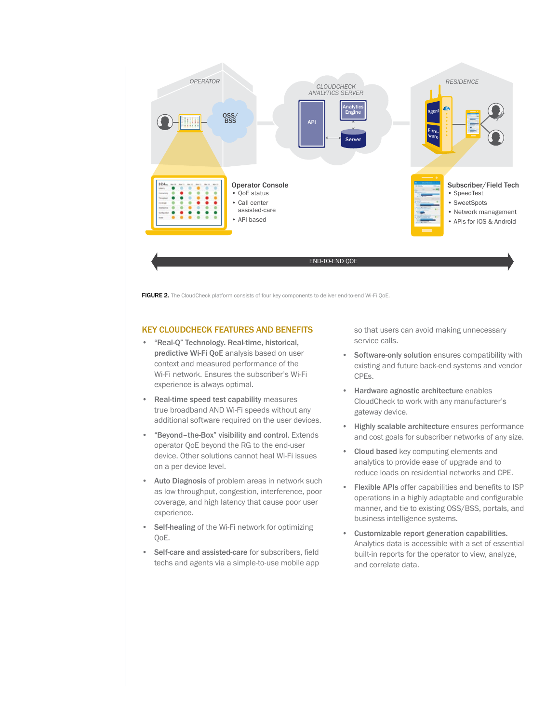

FIGURE 2. The CloudCheck platform consists of four key components to deliver end-to-end Wi-Fi QoE.

#### KEY CLOUDCHECK FEATURES AND BENEFITS

- "Real-Q" Technology. Real-time, historical, predictive Wi-Fi QoE analysis based on user context and measured performance of the Wi-Fi network. Ensures the subscriber's Wi-Fi experience is always optimal.
- Real-time speed test capability measures true broadband AND Wi-Fi speeds without any additional software required on the user devices.
- "Beyond–the-Box" visibility and control. Extends operator QoE beyond the RG to the end-user device. Other solutions cannot heal Wi-Fi issues on a per device level.
- Auto Diagnosis of problem areas in network such as low throughput, congestion, interference, poor coverage, and high latency that cause poor user experience.
- Self-healing of the Wi-Fi network for optimizing QoE.
- Self-care and assisted-care for subscribers, field techs and agents via a simple-to-use mobile app

so that users can avoid making unnecessary service calls.

- Software-only solution ensures compatibility with existing and future back-end systems and vendor CPEs.
- Hardware agnostic architecture enables CloudCheck to work with any manufacturer's gateway device.
- Highly scalable architecture ensures performance and cost goals for subscriber networks of any size.
- Cloud based key computing elements and analytics to provide ease of upgrade and to reduce loads on residential networks and CPE.
- Flexible APIs offer capabilities and benefits to ISP operations in a highly adaptable and configurable manner, and tie to existing OSS/BSS, portals, and business intelligence systems.
- Customizable report generation capabilities. Analytics data is accessible with a set of essential built-in reports for the operator to view, analyze, and correlate data.